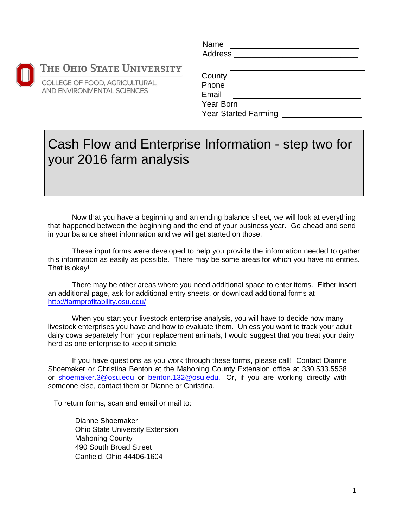#### HE OHIO STATE UNIVERSITY

OLLEGE OF FOOD, AGRICULTURAL, ND ENVIRONMENTAL SCIENCES

| Name           |  |  |  |
|----------------|--|--|--|
| <b>Address</b> |  |  |  |
|                |  |  |  |

| County                      |  |
|-----------------------------|--|
| Phone                       |  |
| Email                       |  |
| Year Born                   |  |
| <b>Year Started Farming</b> |  |

### Cash Flow and Enterprise Information - step two for your 2016 farm analysis

Now that you have a beginning and an ending balance sheet, we will look at everything that happened between the beginning and the end of your business year. Go ahead and send in your balance sheet information and we will get started on those.

These input forms were developed to help you provide the information needed to gather this information as easily as possible. There may be some areas for which you have no entries. That is okay!

There may be other areas where you need additional space to enter items. Either insert an additional page, ask for additional entry sheets, or download additional forms at http://farmprofitability.osu.edu/

When you start your livestock enterprise analysis, you will have to decide how many livestock enterprises you have and how to evaluate them. Unless you want to track your adult dairy cows separately from your replacement animals, I would suggest that you treat your dairy herd as one enterprise to keep it simple.

If you have questions as you work through these forms, please call! Contact Dianne Shoemaker or Christina Benton at the Mahoning County Extension office at 330.533.5538 or shoemaker.3@osu.edu or benton.132@osu.edu. Or, if you are working directly with someone else, contact them or Dianne or Christina.

To return forms, scan and email or mail to:

Dianne Shoemaker Ohio State University Extension Mahoning County 490 South Broad Street Canfield, Ohio 44406-1604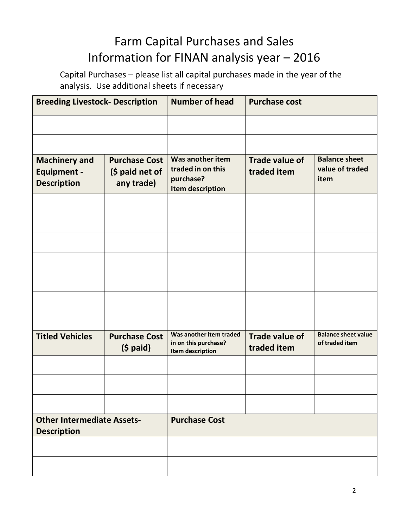### Farm Capital Purchases and Sales Information for FINAN analysis year – 2016

Capital Purchases – please list all capital purchases made in the year of the analysis. Use additional sheets if necessary

| <b>Breeding Livestock- Description</b>                           |                                                       | <b>Number of head</b>                                                         | <b>Purchase cost</b>                 |                                                 |
|------------------------------------------------------------------|-------------------------------------------------------|-------------------------------------------------------------------------------|--------------------------------------|-------------------------------------------------|
|                                                                  |                                                       |                                                                               |                                      |                                                 |
|                                                                  |                                                       |                                                                               |                                      |                                                 |
| <b>Machinery and</b><br><b>Equipment -</b><br><b>Description</b> | <b>Purchase Cost</b><br>(\$ paid net of<br>any trade) | Was another item<br>traded in on this<br>purchase?<br><b>Item description</b> | <b>Trade value of</b><br>traded item | <b>Balance sheet</b><br>value of traded<br>item |
|                                                                  |                                                       |                                                                               |                                      |                                                 |
|                                                                  |                                                       |                                                                               |                                      |                                                 |
|                                                                  |                                                       |                                                                               |                                      |                                                 |
|                                                                  |                                                       |                                                                               |                                      |                                                 |
|                                                                  |                                                       |                                                                               |                                      |                                                 |
|                                                                  |                                                       |                                                                               |                                      |                                                 |
|                                                                  |                                                       |                                                                               |                                      |                                                 |
| <b>Titled Vehicles</b>                                           | <b>Purchase Cost</b><br>$(5$ paid)                    | Was another item traded<br>in on this purchase?<br><b>Item description</b>    | <b>Trade value of</b><br>traded item | <b>Balance sheet value</b><br>of traded item    |
|                                                                  |                                                       |                                                                               |                                      |                                                 |
|                                                                  |                                                       |                                                                               |                                      |                                                 |
|                                                                  |                                                       |                                                                               |                                      |                                                 |
| <b>Other Intermediate Assets-</b><br><b>Description</b>          |                                                       | <b>Purchase Cost</b>                                                          |                                      |                                                 |
|                                                                  |                                                       |                                                                               |                                      |                                                 |
|                                                                  |                                                       |                                                                               |                                      |                                                 |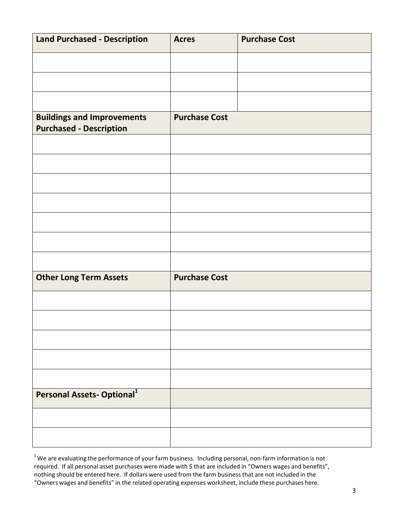| <b>Land Purchased - Description</b>                                 | <b>Acres</b>         | <b>Purchase Cost</b> |
|---------------------------------------------------------------------|----------------------|----------------------|
|                                                                     |                      |                      |
|                                                                     |                      |                      |
|                                                                     |                      |                      |
| <b>Buildings and Improvements</b><br><b>Purchased - Description</b> | <b>Purchase Cost</b> |                      |
|                                                                     |                      |                      |
|                                                                     |                      |                      |
|                                                                     |                      |                      |
|                                                                     |                      |                      |
|                                                                     |                      |                      |
|                                                                     |                      |                      |
|                                                                     |                      |                      |
| <b>Other Long Term Assets</b>                                       | <b>Purchase Cost</b> |                      |
|                                                                     |                      |                      |
|                                                                     |                      |                      |
|                                                                     |                      |                      |
|                                                                     |                      |                      |
|                                                                     |                      |                      |
| Personal Assets-Optional <sup>1</sup>                               |                      |                      |
|                                                                     |                      |                      |
|                                                                     |                      |                      |

 $^{1}$ We are evaluating the performance of your farm business. Including personal, non-farm information is not required. If all personal asset purchases were made with \$ that are included in "Owners wages and benefits", nothing should be entered here. If dollars were used from the farm businessthat are not included in the "Owners wages and benefits" in the related operating expenses worksheet, include these purchases here.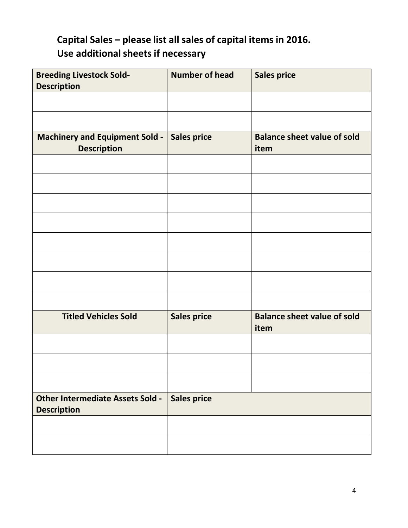### **Capital Sales – please list all sales of capital items in 2016. Use additionalsheetsif necessary**

| <b>Breeding Livestock Sold-</b><br><b>Description</b>         | <b>Number of head</b> | <b>Sales price</b>                         |
|---------------------------------------------------------------|-----------------------|--------------------------------------------|
|                                                               |                       |                                            |
|                                                               |                       |                                            |
| Machinery and Equipment Sold -<br><b>Description</b>          | <b>Sales price</b>    | <b>Balance sheet value of sold</b><br>item |
|                                                               |                       |                                            |
|                                                               |                       |                                            |
|                                                               |                       |                                            |
|                                                               |                       |                                            |
|                                                               |                       |                                            |
|                                                               |                       |                                            |
|                                                               |                       |                                            |
|                                                               |                       |                                            |
| <b>Titled Vehicles Sold</b>                                   | <b>Sales price</b>    | <b>Balance sheet value of sold</b><br>item |
|                                                               |                       |                                            |
|                                                               |                       |                                            |
|                                                               |                       |                                            |
| <b>Other Intermediate Assets Sold -</b><br><b>Description</b> | <b>Sales price</b>    |                                            |
|                                                               |                       |                                            |
|                                                               |                       |                                            |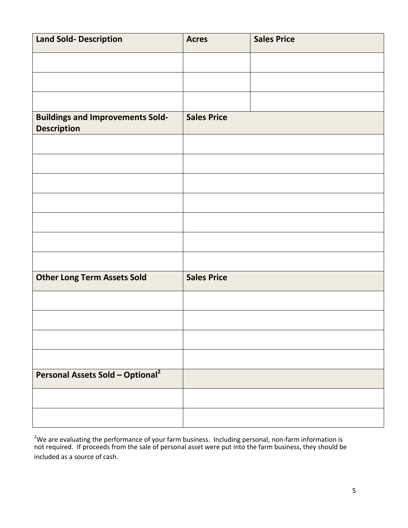| <b>Land Sold- Description</b>                                 | <b>Acres</b>       | <b>Sales Price</b> |
|---------------------------------------------------------------|--------------------|--------------------|
|                                                               |                    |                    |
|                                                               |                    |                    |
|                                                               |                    |                    |
| <b>Buildings and Improvements Sold-</b><br><b>Description</b> | <b>Sales Price</b> |                    |
|                                                               |                    |                    |
|                                                               |                    |                    |
|                                                               |                    |                    |
|                                                               |                    |                    |
|                                                               |                    |                    |
|                                                               |                    |                    |
|                                                               |                    |                    |
| <b>Other Long Term Assets Sold</b>                            | <b>Sales Price</b> |                    |
|                                                               |                    |                    |
|                                                               |                    |                    |
|                                                               |                    |                    |
|                                                               |                    |                    |
| <b>Personal Assets Sold - Optional</b> <sup>2</sup>           |                    |                    |
|                                                               |                    |                    |
|                                                               |                    |                    |

<sup>2</sup>We are evaluating the performance of your farm business. Including personal, non-farm information is not required. If proceeds from the sale of personal asset were put into the farm business, they should be included as a source of cash.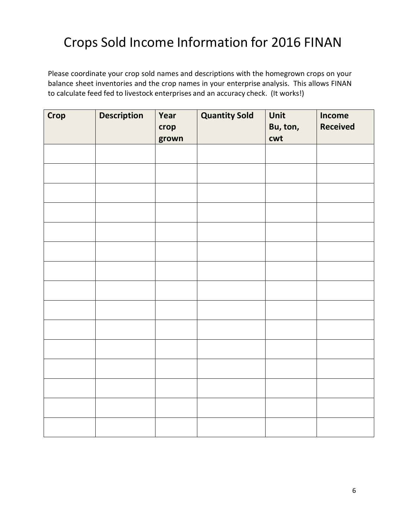## Crops Sold Income Information for 2016 FINAN

Please coordinate your crop sold names and descriptions with the homegrown crops on your balance sheet inventories and the crop names in your enterprise analysis. This allows FINAN to calculate feed fed to livestock enterprises and an accuracy check. (It works!)

| <b>Crop</b> | <b>Description</b> | Year<br>crop<br>grown | <b>Quantity Sold</b> | Unit<br>Bu, ton,<br>cwt | <b>Income</b><br><b>Received</b> |
|-------------|--------------------|-----------------------|----------------------|-------------------------|----------------------------------|
|             |                    |                       |                      |                         |                                  |
|             |                    |                       |                      |                         |                                  |
|             |                    |                       |                      |                         |                                  |
|             |                    |                       |                      |                         |                                  |
|             |                    |                       |                      |                         |                                  |
|             |                    |                       |                      |                         |                                  |
|             |                    |                       |                      |                         |                                  |
|             |                    |                       |                      |                         |                                  |
|             |                    |                       |                      |                         |                                  |
|             |                    |                       |                      |                         |                                  |
|             |                    |                       |                      |                         |                                  |
|             |                    |                       |                      |                         |                                  |
|             |                    |                       |                      |                         |                                  |
|             |                    |                       |                      |                         |                                  |
|             |                    |                       |                      |                         |                                  |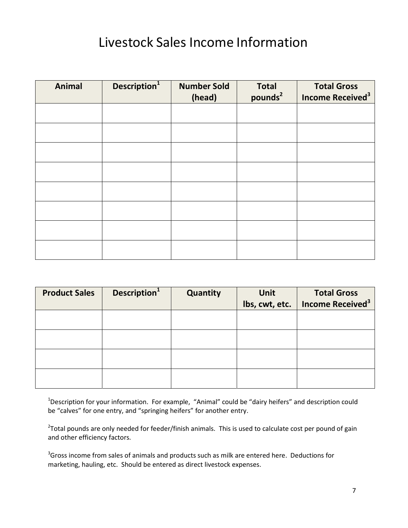## Livestock Sales Income Information

| <b>Animal</b> | Description <sup>1</sup> | <b>Number Sold</b><br>(head) | <b>Total</b><br>pounds <sup>2</sup> | <b>Total Gross</b><br>Income Received <sup>3</sup> |
|---------------|--------------------------|------------------------------|-------------------------------------|----------------------------------------------------|
|               |                          |                              |                                     |                                                    |
|               |                          |                              |                                     |                                                    |
|               |                          |                              |                                     |                                                    |
|               |                          |                              |                                     |                                                    |
|               |                          |                              |                                     |                                                    |
|               |                          |                              |                                     |                                                    |
|               |                          |                              |                                     |                                                    |
|               |                          |                              |                                     |                                                    |

| <b>Product Sales</b> | Description <sup>1</sup> | Quantity | <b>Unit</b>    | <b>Total Gross</b>                  |
|----------------------|--------------------------|----------|----------------|-------------------------------------|
|                      |                          |          | lbs, cwt, etc. | <b>Income Received</b> <sup>3</sup> |
|                      |                          |          |                |                                     |
|                      |                          |          |                |                                     |
|                      |                          |          |                |                                     |
|                      |                          |          |                |                                     |
|                      |                          |          |                |                                     |
|                      |                          |          |                |                                     |
|                      |                          |          |                |                                     |
|                      |                          |          |                |                                     |

<sup>1</sup>Description for your information. For example, "Animal" could be "dairy heifers" and description could be "calves" for one entry, and "springing heifers" for another entry.

<sup>2</sup>Total pounds are only needed for feeder/finish animals. This is used to calculate cost per pound of gain and other efficiency factors.

 $3$ Gross income from sales of animals and products such as milk are entered here. Deductions for marketing, hauling, etc. Should be entered as direct livestock expenses.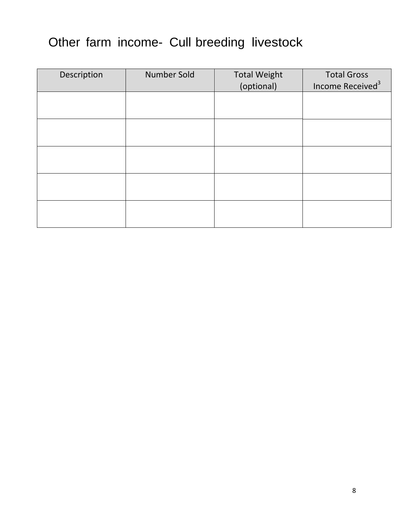## Other farm income- Cull breeding livestock

| Description | Number Sold | <b>Total Weight</b><br>(optional) | <b>Total Gross</b><br>Income Received <sup>3</sup> |
|-------------|-------------|-----------------------------------|----------------------------------------------------|
|             |             |                                   |                                                    |
|             |             |                                   |                                                    |
|             |             |                                   |                                                    |
|             |             |                                   |                                                    |
|             |             |                                   |                                                    |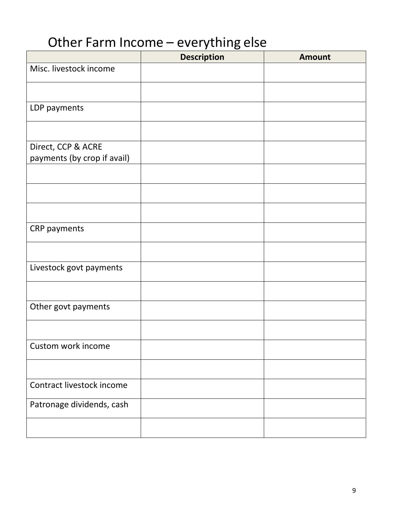# Other Farm Income – everything else

|                             | <b>Description</b> | <b>Amount</b> |
|-----------------------------|--------------------|---------------|
| Misc. livestock income      |                    |               |
|                             |                    |               |
| LDP payments                |                    |               |
|                             |                    |               |
| Direct, CCP & ACRE          |                    |               |
| payments (by crop if avail) |                    |               |
|                             |                    |               |
|                             |                    |               |
|                             |                    |               |
| CRP payments                |                    |               |
|                             |                    |               |
| Livestock govt payments     |                    |               |
|                             |                    |               |
| Other govt payments         |                    |               |
|                             |                    |               |
| Custom work income          |                    |               |
|                             |                    |               |
| Contract livestock income   |                    |               |
| Patronage dividends, cash   |                    |               |
|                             |                    |               |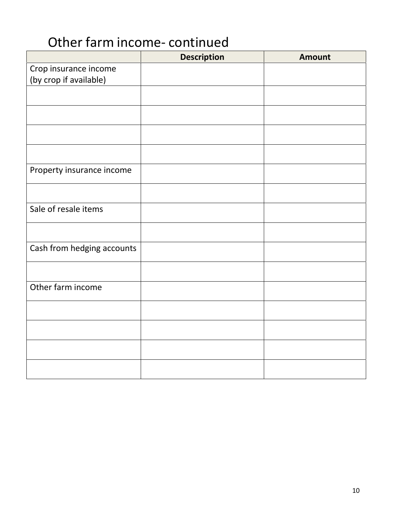## Other farm income‐ continued

|                            | <b>Description</b> | <b>Amount</b> |
|----------------------------|--------------------|---------------|
| Crop insurance income      |                    |               |
| (by crop if available)     |                    |               |
|                            |                    |               |
|                            |                    |               |
|                            |                    |               |
|                            |                    |               |
|                            |                    |               |
|                            |                    |               |
| Property insurance income  |                    |               |
|                            |                    |               |
|                            |                    |               |
| Sale of resale items       |                    |               |
|                            |                    |               |
|                            |                    |               |
| Cash from hedging accounts |                    |               |
|                            |                    |               |
|                            |                    |               |
| Other farm income          |                    |               |
|                            |                    |               |
|                            |                    |               |
|                            |                    |               |
|                            |                    |               |
|                            |                    |               |
|                            |                    |               |
|                            |                    |               |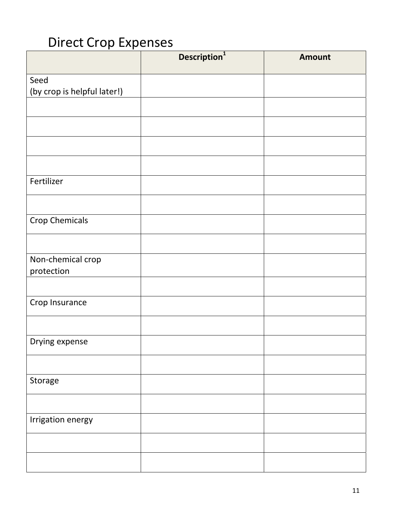## Direct Crop Expenses

|                             | Description <sup>1</sup> | <b>Amount</b> |
|-----------------------------|--------------------------|---------------|
| Seed                        |                          |               |
| (by crop is helpful later!) |                          |               |
|                             |                          |               |
|                             |                          |               |
|                             |                          |               |
|                             |                          |               |
| Fertilizer                  |                          |               |
|                             |                          |               |
| <b>Crop Chemicals</b>       |                          |               |
|                             |                          |               |
| Non-chemical crop           |                          |               |
| protection                  |                          |               |
|                             |                          |               |
| Crop Insurance              |                          |               |
|                             |                          |               |
| Drying expense              |                          |               |
|                             |                          |               |
| Storage                     |                          |               |
|                             |                          |               |
| Irrigation energy           |                          |               |
|                             |                          |               |
|                             |                          |               |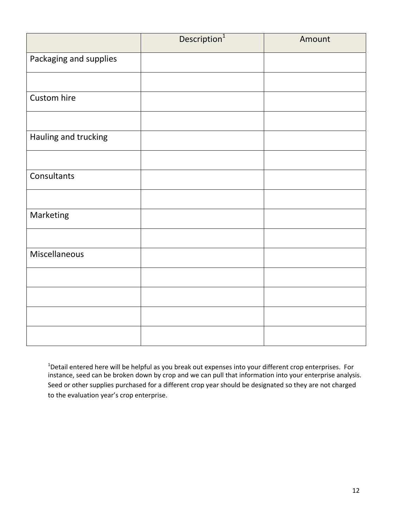|                        | Description <sup>1</sup> | Amount |
|------------------------|--------------------------|--------|
| Packaging and supplies |                          |        |
|                        |                          |        |
| Custom hire            |                          |        |
|                        |                          |        |
| Hauling and trucking   |                          |        |
|                        |                          |        |
| Consultants            |                          |        |
|                        |                          |        |
| Marketing              |                          |        |
|                        |                          |        |
| Miscellaneous          |                          |        |
|                        |                          |        |
|                        |                          |        |
|                        |                          |        |
|                        |                          |        |

<sup>1</sup>Detail entered here will be helpful as you break out expenses into your different crop enterprises. For instance, seed can be broken down by crop and we can pull that information into your enterprise analysis. Seed or other supplies purchased for a different crop year should be designated so they are not charged to the evaluation year's crop enterprise.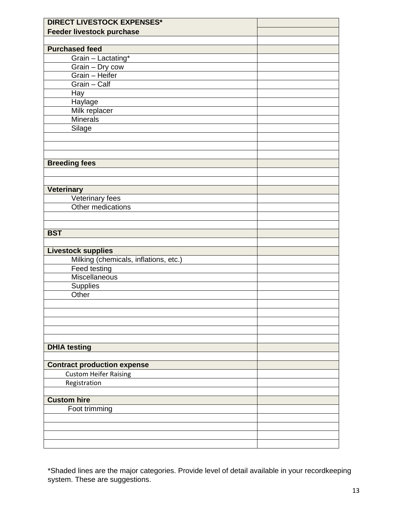| <b>DIRECT LIVESTOCK EXPENSES*</b>     |  |
|---------------------------------------|--|
| Feeder livestock purchase             |  |
|                                       |  |
| <b>Purchased feed</b>                 |  |
| Grain - Lactating*                    |  |
|                                       |  |
| Grain - Dry cow<br>Grain - Heifer     |  |
| Grain - Calf                          |  |
| Hay                                   |  |
| Haylage                               |  |
| Milk replacer                         |  |
| <b>Minerals</b>                       |  |
| Silage                                |  |
|                                       |  |
|                                       |  |
|                                       |  |
| <b>Breeding fees</b>                  |  |
|                                       |  |
|                                       |  |
| <b>Veterinary</b>                     |  |
| Veterinary fees                       |  |
| Other medications                     |  |
|                                       |  |
|                                       |  |
| <b>BST</b>                            |  |
|                                       |  |
| <b>Livestock supplies</b>             |  |
| Milking (chemicals, inflations, etc.) |  |
| Feed testing                          |  |
| Miscellaneous                         |  |
| <b>Supplies</b>                       |  |
| Other                                 |  |
|                                       |  |
|                                       |  |
|                                       |  |
|                                       |  |
|                                       |  |
| <b>DHIA testing</b>                   |  |
|                                       |  |
| <b>Contract production expense</b>    |  |
| <b>Custom Heifer Raising</b>          |  |
| Registration                          |  |
|                                       |  |
| <b>Custom hire</b>                    |  |
| Foot trimming                         |  |
|                                       |  |
|                                       |  |
|                                       |  |
|                                       |  |

\*Shaded lines are the major categories. Provide level of detail available in your recordkeeping system. These are suggestions.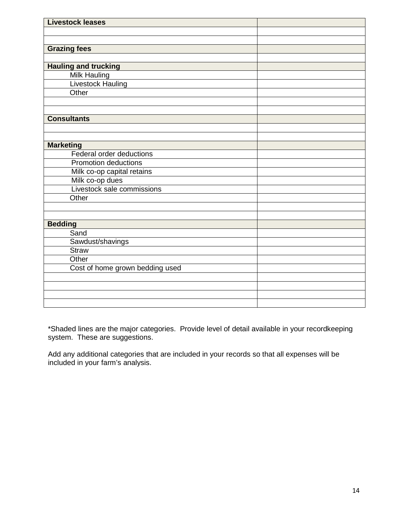| <b>Livestock leases</b>         |  |
|---------------------------------|--|
|                                 |  |
|                                 |  |
| <b>Grazing fees</b>             |  |
|                                 |  |
| <b>Hauling and trucking</b>     |  |
| Milk Hauling                    |  |
| <b>Livestock Hauling</b>        |  |
| Other                           |  |
|                                 |  |
|                                 |  |
| <b>Consultants</b>              |  |
|                                 |  |
|                                 |  |
| <b>Marketing</b>                |  |
| Federal order deductions        |  |
| <b>Promotion deductions</b>     |  |
| Milk co-op capital retains      |  |
| Milk co-op dues                 |  |
| Livestock sale commissions      |  |
| Other                           |  |
|                                 |  |
|                                 |  |
| <b>Bedding</b>                  |  |
| Sand                            |  |
| Sawdust/shavings                |  |
| <b>Straw</b>                    |  |
| Other                           |  |
| Cost of home grown bedding used |  |
|                                 |  |
|                                 |  |
|                                 |  |
|                                 |  |

\*Shaded lines are the major categories. Provide level of detail available in your recordkeeping system. These are suggestions.

Add any additional categories that are included in your records so that all expenses will be included in your farm's analysis.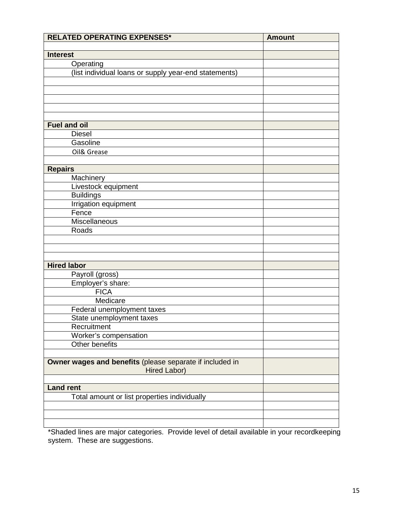| <b>RELATED OPERATING EXPENSES*</b>                       | <b>Amount</b> |
|----------------------------------------------------------|---------------|
| <b>Interest</b>                                          |               |
| Operating                                                |               |
| (list individual loans or supply year-end statements)    |               |
|                                                          |               |
|                                                          |               |
|                                                          |               |
|                                                          |               |
|                                                          |               |
| <b>Fuel and oil</b>                                      |               |
| <b>Diesel</b>                                            |               |
| Gasoline                                                 |               |
| Oil& Grease                                              |               |
|                                                          |               |
| <b>Repairs</b>                                           |               |
| Machinery                                                |               |
| Livestock equipment                                      |               |
| <b>Buildings</b>                                         |               |
| <b>Irrigation equipment</b>                              |               |
| Fence                                                    |               |
| Miscellaneous                                            |               |
| Roads                                                    |               |
|                                                          |               |
|                                                          |               |
|                                                          |               |
| <b>Hired labor</b>                                       |               |
| Payroll (gross)                                          |               |
| Employer's share:                                        |               |
| <b>FICA</b>                                              |               |
| Medicare                                                 |               |
| Federal unemployment taxes                               |               |
| State unemployment taxes<br>Recruitment                  |               |
| Worker's compensation                                    |               |
| Other benefits                                           |               |
|                                                          |               |
| Owner wages and benefits (please separate if included in |               |
| Hired Labor)                                             |               |
|                                                          |               |
| <b>Land rent</b>                                         |               |
| Total amount or list properties individually             |               |
|                                                          |               |
|                                                          |               |
|                                                          |               |

\*Shaded lines are major categories. Provide level of detail available in your recordkeeping system. These are suggestions.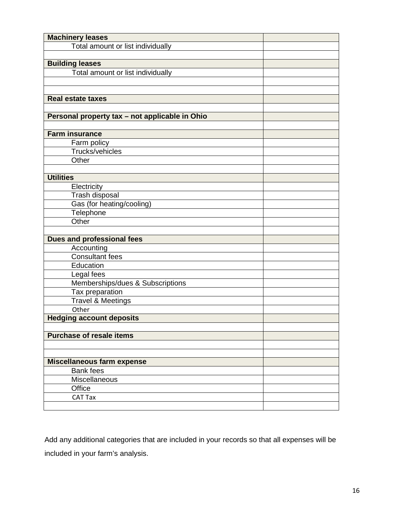| <b>Machinery leases</b>                        |  |
|------------------------------------------------|--|
| Total amount or list individually              |  |
|                                                |  |
| <b>Building leases</b>                         |  |
| Total amount or list individually              |  |
|                                                |  |
|                                                |  |
| <b>Real estate taxes</b>                       |  |
|                                                |  |
| Personal property tax - not applicable in Ohio |  |
|                                                |  |
| <b>Farm insurance</b>                          |  |
| Farm policy                                    |  |
| Trucks/vehicles                                |  |
| Other                                          |  |
|                                                |  |
| <b>Utilities</b>                               |  |
| Electricity                                    |  |
| Trash disposal                                 |  |
| Gas (for heating/cooling)                      |  |
| Telephone                                      |  |
| Other                                          |  |
|                                                |  |
| <b>Dues and professional fees</b>              |  |
| Accounting                                     |  |
| <b>Consultant fees</b>                         |  |
| Education                                      |  |
| Legal fees                                     |  |
| Memberships/dues & Subscriptions               |  |
| Tax preparation                                |  |
| <b>Travel &amp; Meetings</b>                   |  |
| Other                                          |  |
| <b>Hedging account deposits</b>                |  |
|                                                |  |
| <b>Purchase of resale items</b>                |  |
|                                                |  |
|                                                |  |
| <b>Miscellaneous farm expense</b>              |  |
| Bank fees                                      |  |
| Miscellaneous                                  |  |
| Office                                         |  |
| <b>CAT Tax</b>                                 |  |
|                                                |  |

Add any additional categories that are included in your records so that all expenses will be included in your farm's analysis.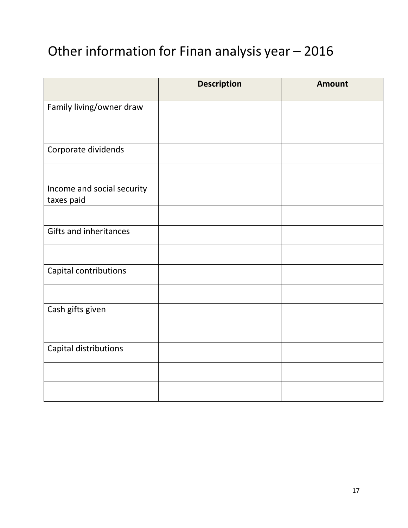## Other information for Finan analysis year – 2016

|                                          | <b>Description</b> | <b>Amount</b> |
|------------------------------------------|--------------------|---------------|
| Family living/owner draw                 |                    |               |
|                                          |                    |               |
| Corporate dividends                      |                    |               |
|                                          |                    |               |
| Income and social security<br>taxes paid |                    |               |
|                                          |                    |               |
| <b>Gifts and inheritances</b>            |                    |               |
|                                          |                    |               |
| Capital contributions                    |                    |               |
|                                          |                    |               |
| Cash gifts given                         |                    |               |
|                                          |                    |               |
| Capital distributions                    |                    |               |
|                                          |                    |               |
|                                          |                    |               |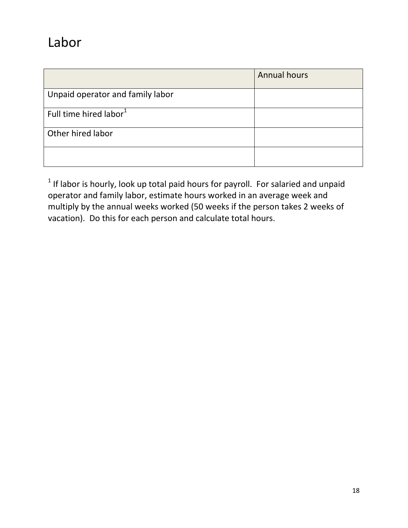## Labor

|                                    | <b>Annual hours</b> |
|------------------------------------|---------------------|
| Unpaid operator and family labor   |                     |
| Full time hired labor <sup>1</sup> |                     |
| Other hired labor                  |                     |
|                                    |                     |

 $1$  If labor is hourly, look up total paid hours for payroll. For salaried and unpaid operator and family labor, estimate hours worked in an average week and multiply by the annual weeks worked (50 weeks if the person takes 2 weeks of vacation). Do this for each person and calculate total hours.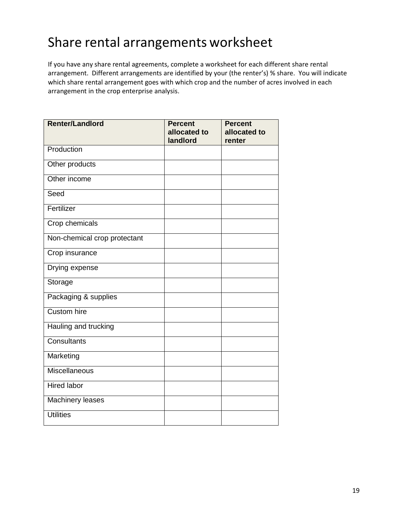## Share rental arrangements worksheet

If you have any share rental agreements, complete a worksheet for each different share rental arrangement. Different arrangements are identified by your (the renter's) % share. You will indicate which share rental arrangement goes with which crop and the number of acres involved in each arrangement in the crop enterprise analysis.

| <b>Renter/Landlord</b>       | <b>Percent</b><br>allocated to | <b>Percent</b><br>allocated to |
|------------------------------|--------------------------------|--------------------------------|
|                              | landlord                       | renter                         |
| Production                   |                                |                                |
| Other products               |                                |                                |
| Other income                 |                                |                                |
| Seed                         |                                |                                |
| Fertilizer                   |                                |                                |
| Crop chemicals               |                                |                                |
| Non-chemical crop protectant |                                |                                |
| Crop insurance               |                                |                                |
| Drying expense               |                                |                                |
| Storage                      |                                |                                |
| Packaging & supplies         |                                |                                |
| <b>Custom hire</b>           |                                |                                |
| Hauling and trucking         |                                |                                |
| Consultants                  |                                |                                |
| Marketing                    |                                |                                |
| Miscellaneous                |                                |                                |
| <b>Hired labor</b>           |                                |                                |
| Machinery leases             |                                |                                |
| <b>Utilities</b>             |                                |                                |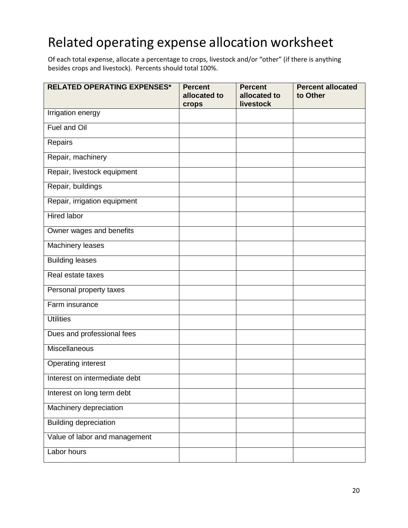## Related operating expense allocation worksheet

Of each total expense, allocate a percentage to crops, livestock and/or "other" (if there is anything besides crops and livestock). Percents should total 100%.

| <b>RELATED OPERATING EXPENSES*</b> | <b>Percent</b><br>allocated to<br>crops | <b>Percent</b><br>allocated to<br>livestock | <b>Percent allocated</b><br>to Other |
|------------------------------------|-----------------------------------------|---------------------------------------------|--------------------------------------|
| Irrigation energy                  |                                         |                                             |                                      |
| Fuel and Oil                       |                                         |                                             |                                      |
| Repairs                            |                                         |                                             |                                      |
| Repair, machinery                  |                                         |                                             |                                      |
| Repair, livestock equipment        |                                         |                                             |                                      |
| Repair, buildings                  |                                         |                                             |                                      |
| Repair, irrigation equipment       |                                         |                                             |                                      |
| <b>Hired labor</b>                 |                                         |                                             |                                      |
| Owner wages and benefits           |                                         |                                             |                                      |
| Machinery leases                   |                                         |                                             |                                      |
| <b>Building leases</b>             |                                         |                                             |                                      |
| Real estate taxes                  |                                         |                                             |                                      |
| Personal property taxes            |                                         |                                             |                                      |
| Farm insurance                     |                                         |                                             |                                      |
| <b>Utilities</b>                   |                                         |                                             |                                      |
| Dues and professional fees         |                                         |                                             |                                      |
| Miscellaneous                      |                                         |                                             |                                      |
| Operating interest                 |                                         |                                             |                                      |
| Interest on intermediate debt      |                                         |                                             |                                      |
| Interest on long term debt         |                                         |                                             |                                      |
| Machinery depreciation             |                                         |                                             |                                      |
| <b>Building depreciation</b>       |                                         |                                             |                                      |
| Value of labor and management      |                                         |                                             |                                      |
| Labor hours                        |                                         |                                             |                                      |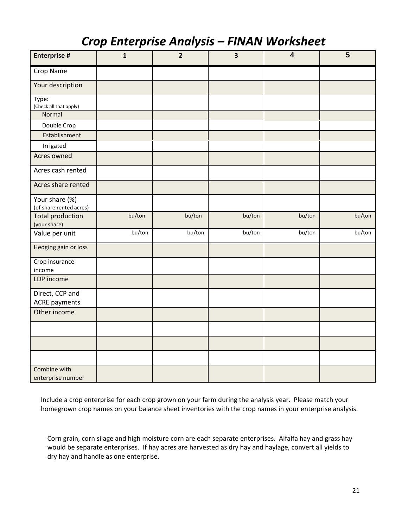### *Crop Enterprise Analysis – FINAN Worksheet*

| <b>Enterprise #</b>                       | $\mathbf{1}$ | $\overline{2}$ | $\overline{\mathbf{3}}$ | $\overline{\mathbf{4}}$ | $5\phantom{1}$ |
|-------------------------------------------|--------------|----------------|-------------------------|-------------------------|----------------|
| Crop Name                                 |              |                |                         |                         |                |
| Your description                          |              |                |                         |                         |                |
| Type:<br>(Check all that apply)           |              |                |                         |                         |                |
| Normal                                    |              |                |                         |                         |                |
| Double Crop                               |              |                |                         |                         |                |
| Establishment                             |              |                |                         |                         |                |
| Irrigated                                 |              |                |                         |                         |                |
| Acres owned                               |              |                |                         |                         |                |
| Acres cash rented                         |              |                |                         |                         |                |
| Acres share rented                        |              |                |                         |                         |                |
| Your share (%)<br>(of share rented acres) |              |                |                         |                         |                |
| <b>Total production</b><br>(your share)   | bu/ton       | bu/ton         | bu/ton                  | bu/ton                  | bu/ton         |
| Value per unit                            | bu/ton       | bu/ton         | bu/ton                  | bu/ton                  | bu/ton         |
| Hedging gain or loss                      |              |                |                         |                         |                |
| Crop insurance<br>income                  |              |                |                         |                         |                |
| LDP income                                |              |                |                         |                         |                |
| Direct, CCP and<br><b>ACRE</b> payments   |              |                |                         |                         |                |
| Other income                              |              |                |                         |                         |                |
|                                           |              |                |                         |                         |                |
|                                           |              |                |                         |                         |                |
|                                           |              |                |                         |                         |                |
| Combine with<br>enterprise number         |              |                |                         |                         |                |

Include a crop enterprise for each crop grown on your farm during the analysis year. Please match your homegrown crop names on your balance sheet inventories with the crop names in your enterprise analysis.

Corn grain, corn silage and high moisture corn are each separate enterprises. Alfalfa hay and grass hay would be separate enterprises. If hay acres are harvested as dry hay and haylage, convert all yields to dry hay and handle as one enterprise.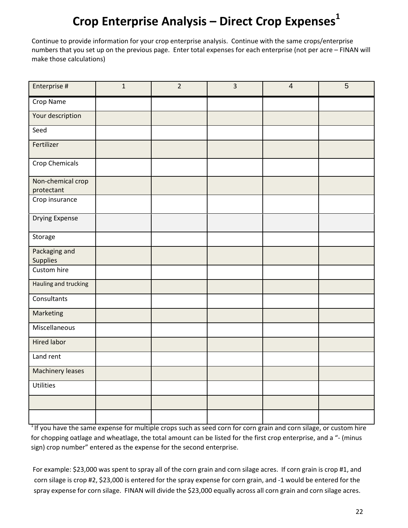### **Crop Enterprise Analysis – Direct Crop Expenses<sup>1</sup>**

Continue to provide information for your crop enterprise analysis. Continue with the same crops/enterprise numbers that you set up on the previous page. Enter total expenses for each enterprise (not per acre – FINAN will make those calculations)

| Enterprise #                     | $\mathbf{1}$ | $\overline{2}$ | $\overline{3}$ | $\overline{4}$ | 5 |
|----------------------------------|--------------|----------------|----------------|----------------|---|
| Crop Name                        |              |                |                |                |   |
| Your description                 |              |                |                |                |   |
| Seed                             |              |                |                |                |   |
| Fertilizer                       |              |                |                |                |   |
| Crop Chemicals                   |              |                |                |                |   |
| Non-chemical crop<br>protectant  |              |                |                |                |   |
| Crop insurance                   |              |                |                |                |   |
| <b>Drying Expense</b>            |              |                |                |                |   |
| Storage                          |              |                |                |                |   |
| Packaging and<br><b>Supplies</b> |              |                |                |                |   |
| Custom hire                      |              |                |                |                |   |
| Hauling and trucking             |              |                |                |                |   |
| Consultants                      |              |                |                |                |   |
| Marketing                        |              |                |                |                |   |
| Miscellaneous                    |              |                |                |                |   |
| <b>Hired labor</b>               |              |                |                |                |   |
| Land rent                        |              |                |                |                |   |
| <b>Machinery leases</b>          |              |                |                |                |   |
| <b>Utilities</b>                 |              |                |                |                |   |
|                                  |              |                |                |                |   |
|                                  |              |                |                |                |   |

 $1$ If you have the same expense for multiple crops such as seed corn for corn grain and corn silage, or custom hire for chopping oatlage and wheatlage, the total amount can be listed for the first crop enterprise, and a "‐ (minus sign) crop number" entered as the expense for the second enterprise.

For example: \$23,000 was spent to spray all of the corn grain and corn silage acres. If corn grain is crop #1, and corn silage is crop #2, \$23,000 is entered for the spray expense for corn grain, and ‐1 would be entered for the spray expense for corn silage. FINAN will divide the \$23,000 equally across all corn grain and corn silage acres.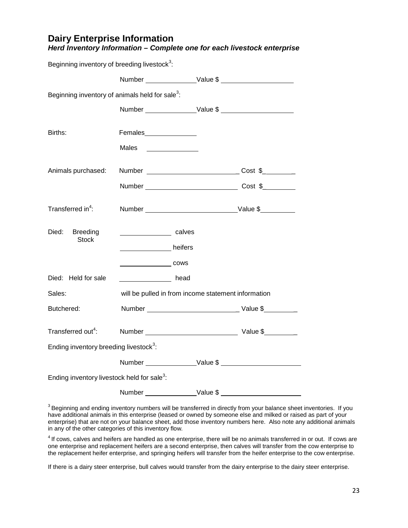| <b>Dairy Enterprise Information</b>                                     |
|-------------------------------------------------------------------------|
| Herd Inventory Information – Complete one for each livestock enterprise |

Beginning inventory of breeding livestock $3$ :

| Beginning inventory of animals held for sale <sup>3</sup> : |                                                     |                 |
|-------------------------------------------------------------|-----------------------------------------------------|-----------------|
|                                                             |                                                     |                 |
| Births:                                                     | Females_______________                              |                 |
|                                                             | Males                                               |                 |
| Animals purchased:                                          |                                                     |                 |
|                                                             |                                                     |                 |
| Transferred in <sup>4</sup> :                               |                                                     |                 |
| Died:<br><b>Breeding</b><br><b>Stock</b>                    | _______________________ calves                      |                 |
|                                                             | __________________ heifers                          |                 |
|                                                             |                                                     |                 |
| Died: Held for sale                                         | head                                                |                 |
| Sales:                                                      | will be pulled in from income statement information |                 |
| Butchered:                                                  |                                                     | Number Value \$ |
| Transferred out <sup>4</sup> :                              |                                                     |                 |
| Ending inventory breeding livestock <sup>3</sup> :          |                                                     |                 |
|                                                             |                                                     |                 |
| Ending inventory livestock held for sale <sup>3</sup> :     |                                                     |                 |
|                                                             |                                                     |                 |

 $3$  Beginning and ending inventory numbers will be transferred in directly from your balance sheet inventories. If you have additional animals in this enterprise (leased or owned by someone else and milked or raised as part of your enterprise) that are not on your balance sheet, add those inventory numbers here. Also note any additional animals in any of the other categories of this inventory flow.

 $4$  If cows, calves and heifers are handled as one enterprise, there will be no animals transferred in or out. If cows are one enterprise and replacement heifers are a second enterprise, then calves will transfer from the cow enterprise to the replacement heifer enterprise, and springing heifers will transfer from the heifer enterprise to the cow enterprise.

If there is a dairy steer enterprise, bull calves would transfer from the dairy enterprise to the dairy steer enterprise.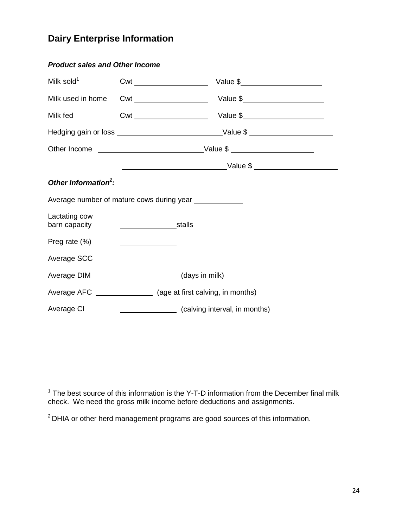#### **Dairy Enterprise Information**

| <b>Product sales and Other Income</b> |                                                                                                                      |                               |  |
|---------------------------------------|----------------------------------------------------------------------------------------------------------------------|-------------------------------|--|
| Milk sold $1$                         |                                                                                                                      |                               |  |
| Milk used in home                     |                                                                                                                      |                               |  |
| Milk fed                              |                                                                                                                      |                               |  |
|                                       |                                                                                                                      |                               |  |
|                                       |                                                                                                                      |                               |  |
|                                       |                                                                                                                      |                               |  |
| Other Information <sup>2</sup> :      |                                                                                                                      |                               |  |
|                                       | Average number of mature cows during year _____________                                                              |                               |  |
| Lactating cow<br>barn capacity        | stalls                                                                                                               |                               |  |
| Preg rate (%)                         |                                                                                                                      |                               |  |
| Average SCC                           | <u> 1980 - Jan Jawa Barat, pamang pangang pangang pangang pangang pangang pangang pangang pangang panggapang pan</u> |                               |  |
| Average DIM                           | (days in milk)                                                                                                       |                               |  |
|                                       |                                                                                                                      |                               |  |
| Average CI                            |                                                                                                                      | (calving interval, in months) |  |

 $1$  The best source of this information is the Y-T-D information from the December final milk check. We need the gross milk income before deductions and assignments.

<sup>2</sup> DHIA or other herd management programs are good sources of this information.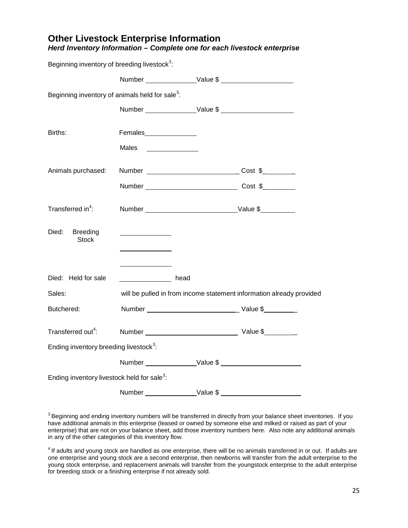#### **Other Livestock Enterprise Information**

| Beginning inventory of breeding livestock <sup>3</sup> :    |                                                                                                                       |                                                                      |
|-------------------------------------------------------------|-----------------------------------------------------------------------------------------------------------------------|----------------------------------------------------------------------|
|                                                             |                                                                                                                       |                                                                      |
| Beginning inventory of animals held for sale <sup>3</sup> : |                                                                                                                       |                                                                      |
|                                                             |                                                                                                                       |                                                                      |
| Births:                                                     | Females________________                                                                                               |                                                                      |
|                                                             | Males<br><u> The Communication of the Communication of</u>                                                            |                                                                      |
| Animals purchased:                                          |                                                                                                                       |                                                                      |
|                                                             |                                                                                                                       |                                                                      |
| Transferred in <sup>4</sup> :                               |                                                                                                                       |                                                                      |
| Died:<br><b>Breeding</b><br><b>Stock</b>                    | <u> 1999 - John Stein, Amerikaansk konst</u>                                                                          |                                                                      |
| Died: Held for sale                                         | <b>Example 20</b> September 20 September 20 September 20 September 20 September 20 September 20 September 20 Septembe |                                                                      |
| Sales:                                                      |                                                                                                                       | will be pulled in from income statement information already provided |
| Butchered:                                                  |                                                                                                                       |                                                                      |
| Transferred out <sup>4</sup> :                              | Number Value \$                                                                                                       |                                                                      |
| Ending inventory breeding livestock <sup>3</sup> :          |                                                                                                                       |                                                                      |
|                                                             |                                                                                                                       |                                                                      |
| Ending inventory livestock held for sale <sup>3</sup> :     |                                                                                                                       |                                                                      |
|                                                             |                                                                                                                       |                                                                      |

*Herd Inventory Information – Complete one for each livestock enterprise*

 $3$  Beginning and ending inventory numbers will be transferred in directly from your balance sheet inventories. If you have additional animals in this enterprise (leased or owned by someone else and milked or raised as part of your enterprise) that are not on your balance sheet, add those inventory numbers here. Also note any additional animals in any of the other categories of this inventory flow.

 $4$  If adults and young stock are handled as one enterprise, there will be no animals transferred in or out. If adults are one enterprise and young stock are a second enterprise, then newborns will transfer from the adult enterprise to the young stock enterprise, and replacement animals will transfer from the youngstock enterprise to the adult enterprise for breeding stock or a finishing enterprise if not already sold.